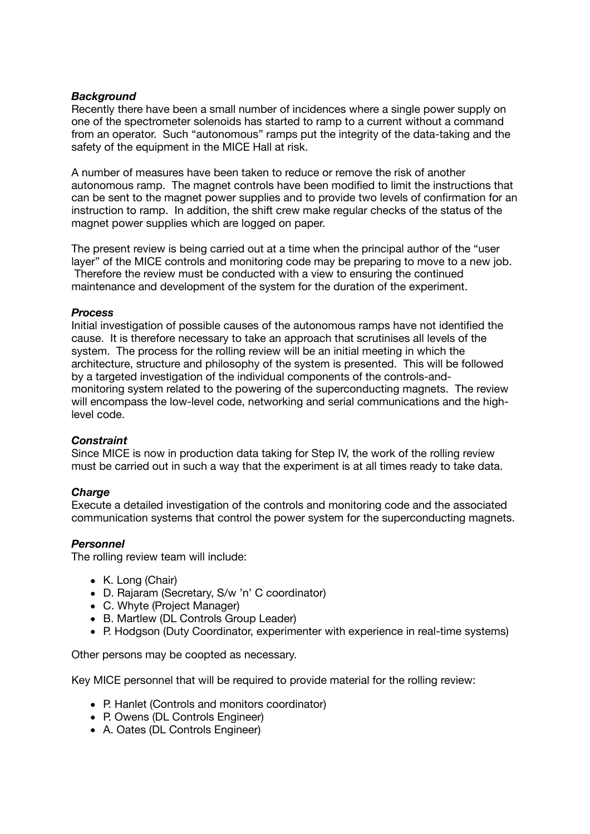# *Background*

Recently there have been a small number of incidences where a single power supply on one of the spectrometer solenoids has started to ramp to a current without a command from an operator. Such "autonomous" ramps put the integrity of the data-taking and the safety of the equipment in the MICE Hall at risk.

A number of measures have been taken to reduce or remove the risk of another autonomous ramp. The magnet controls have been modified to limit the instructions that can be sent to the magnet power supplies and to provide two levels of confirmation for an instruction to ramp. In addition, the shift crew make regular checks of the status of the magnet power supplies which are logged on paper.

The present review is being carried out at a time when the principal author of the "user layer" of the MICE controls and monitoring code may be preparing to move to a new job. Therefore the review must be conducted with a view to ensuring the continued maintenance and development of the system for the duration of the experiment.

# *Process*

Initial investigation of possible causes of the autonomous ramps have not identified the cause. It is therefore necessary to take an approach that scrutinises all levels of the system. The process for the rolling review will be an initial meeting in which the architecture, structure and philosophy of the system is presented. This will be followed by a targeted investigation of the individual components of the controls-andmonitoring system related to the powering of the superconducting magnets. The review will encompass the low-level code, networking and serial communications and the highlevel code.

# *Constraint*

Since MICE is now in production data taking for Step IV, the work of the rolling review must be carried out in such a way that the experiment is at all times ready to take data.

# *Charge*

Execute a detailed investigation of the controls and monitoring code and the associated communication systems that control the power system for the superconducting magnets.

# *Personnel*

The rolling review team will include:

- K. Long (Chair)
- D. Rajaram (Secretary, S/w 'n' C coordinator)
- C. Whyte (Project Manager)
- B. Martlew (DL Controls Group Leader)
- P. Hodgson (Duty Coordinator, experimenter with experience in real-time systems)

Other persons may be coopted as necessary.

Key MICE personnel that will be required to provide material for the rolling review:

- P. Hanlet (Controls and monitors coordinator)
- P. Owens (DL Controls Engineer)
- A. Oates (DL Controls Engineer)